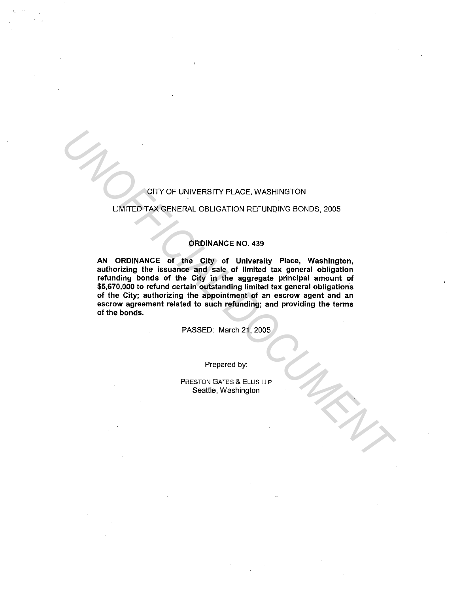# CITY OF UNIVERSITY PLACE, WASHINGTON

## LIMITED TAX GENERAL OBLIGATION REFUNQING BONDS, 2005

## ORDINANCE NO. 439

AN ORDINANCE of the City of University Place, Washington, authorizing the issuance and sale of limited tax general obligation refunding bonds of the City in the aggregate principal amount of \$5,670,000 to refund certain outstanding limited tax general obligations of the City; authorizing the appointment of an escrow agent and an escrow agreement related to such refunding; and providing the terms of the bonds. **UNITED TAX GENERAL OBLIGATION REFUNDING BONDS, 2005**<br> **UNITED TAX GENERAL OBLIGATION REFUNDING BONDS, 2005**<br> **ORDINANCE of the City of University Place, Washington,**<br>
authorizing the issuarce and sale of Ilmited tax gener

PASSED: March 21, 2005

Prepared by:

PRESTON GATES & ELLIS LLP Seattle, Washington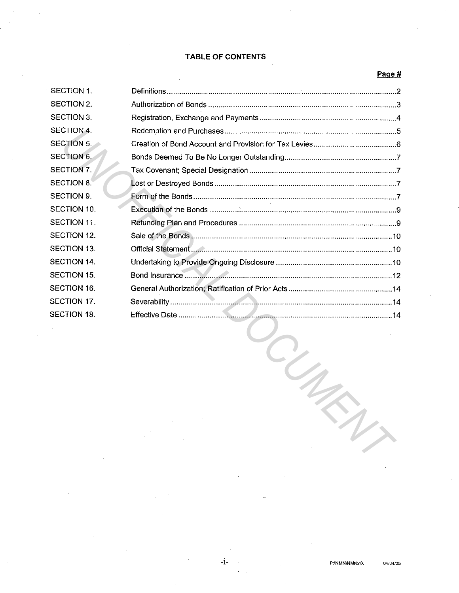# **TABLE OF CONTENTS**

# **Page#**

| SECTION 1.        |  |
|-------------------|--|
| SECTION 2.        |  |
| SECTION 3.        |  |
| SECTION 4.        |  |
| <b>SECTION 5.</b> |  |
| SECTION 6.        |  |
| SECTION 7.        |  |
| <b>SECTION 8.</b> |  |
| SECTION 9.        |  |
| SECTION 10.       |  |
| SECTION 11.       |  |
| SECTION 12.       |  |
| SECTION 13.       |  |
| SECTION 14.       |  |
| SECTION 15.       |  |
| SECTION 16.       |  |
| SECTION 17.       |  |
| SECTION 18.       |  |
|                   |  |
|                   |  |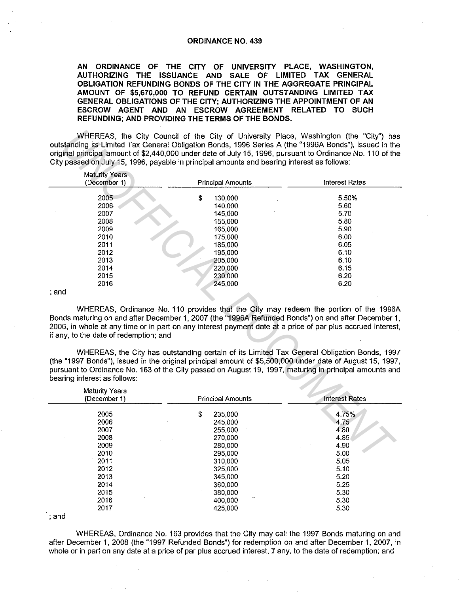#### **ORDINANCE NO. 439**

**AN ORDINANCE OF. THE CITY OF UNIVERSITY PLACE, WASHINGTON, AUTHORIZING THE ISSUANCE AND SALE OF LIMITED TAX GENERAL OBLIGATION REFUNDING BONDS OF THE CITY IN THE AGGREGATE PRINCIPAL AMOUNT OF \$5,670,000 TO REFUND CERTAIN OUTSTANDING LIMITED TAX GENERAL OBLIGATIONS OF THE CITY; AUTHORIZING THE APPOINTMENT OF AN ESCROW AGENT AND AN ESCROW AGREEMENT RELATED TO SUCH REFUNDING; AND PROVIDING THE TERMS OF THE BONDS.** 

| outstanding its Limited Tax General Obligation Bonds, 1996 Series A (the "1996A Bonds"), issued in the<br>original principal amount of \$2,440,000 under date of July 15, 1996, pursuant to Ordinance No. 110 of the<br>City passed on July 15, 1996, payable in principal amounts and bearing interest as follows: | WHEREAS, the City Council of the City of University Place, Washington (the "City") has      |                       |
|---------------------------------------------------------------------------------------------------------------------------------------------------------------------------------------------------------------------------------------------------------------------------------------------------------------------|---------------------------------------------------------------------------------------------|-----------------------|
| <b>Maturity Years</b><br>(December 1)                                                                                                                                                                                                                                                                               | <b>Principal Amounts</b>                                                                    | <b>Interest Rates</b> |
| 2005                                                                                                                                                                                                                                                                                                                | \$<br>130,000                                                                               | 5.50%                 |
| 2006                                                                                                                                                                                                                                                                                                                | 140,000                                                                                     | 5.60                  |
| 2007                                                                                                                                                                                                                                                                                                                | 145,000                                                                                     | 5.70                  |
| 2008                                                                                                                                                                                                                                                                                                                | 155,000                                                                                     | 5.80                  |
| 2009                                                                                                                                                                                                                                                                                                                | 165,000                                                                                     | 5.90                  |
| 2010                                                                                                                                                                                                                                                                                                                | 175,000                                                                                     | 6.00                  |
| 2011                                                                                                                                                                                                                                                                                                                | 185,000                                                                                     | 6.05                  |
| 2012                                                                                                                                                                                                                                                                                                                | 195,000                                                                                     | 6.10                  |
| 2013                                                                                                                                                                                                                                                                                                                | 205,000                                                                                     | 6.10                  |
| 2014                                                                                                                                                                                                                                                                                                                | 220,000                                                                                     | 6.15                  |
| 2015                                                                                                                                                                                                                                                                                                                | 230,000                                                                                     | 6.20                  |
| 2016                                                                                                                                                                                                                                                                                                                | 245,000                                                                                     | 6.20                  |
| ; and                                                                                                                                                                                                                                                                                                               |                                                                                             |                       |
| Bonds maturing on and after December 1, 2007 (the "1996A Refunded Bonds") on and after December 1,<br>2006, in whole at any time or in part on any interest payment date at a price of par plus accrued interest,<br>if any, to the date of redemption; and                                                         | WHEREAS, Ordinance No. 110 provides that the City may redeem the portion of the 1996A       |                       |
| (the "1997 Bonds"), issued in the original principal amount of \$5,500,000 under date of August 15, 1997,<br>pursuant to Ordinance No. 163 of the City passed on August 19, 1997, maturing in principal amounts and<br>bearing interest as follows:                                                                 | WHEREAS, the City has outstanding certain of its Limited Tax General Obligation Bonds, 1997 |                       |
| <b>Maturity Years</b>                                                                                                                                                                                                                                                                                               |                                                                                             |                       |
| (December 1)                                                                                                                                                                                                                                                                                                        | <b>Principal Amounts</b>                                                                    | <b>Interest Rates</b> |
|                                                                                                                                                                                                                                                                                                                     |                                                                                             |                       |
| 2005                                                                                                                                                                                                                                                                                                                | \$<br>235,000                                                                               | 4.75%                 |
| 2006                                                                                                                                                                                                                                                                                                                | 245,000                                                                                     | 4.75                  |
| 2007                                                                                                                                                                                                                                                                                                                | 255,000                                                                                     | 4.80                  |
| 2008                                                                                                                                                                                                                                                                                                                | 270,000                                                                                     | 4.85                  |
| 2009                                                                                                                                                                                                                                                                                                                | 280,000                                                                                     | 4.90                  |
| 2010                                                                                                                                                                                                                                                                                                                | 295,000                                                                                     | 5.00                  |
| 2011                                                                                                                                                                                                                                                                                                                | 310.000                                                                                     | 5.05                  |

| <b>Maturity Years</b><br>(December 1) | <b>Principal Amounts</b> | <b>Interest Rates</b> |
|---------------------------------------|--------------------------|-----------------------|
| 2005                                  | \$<br>235,000            | 4.75%                 |
| 2006                                  | 245,000                  | 4.75                  |
| 2007                                  | 255,000                  | 4.80                  |
| 2008                                  | 270,000                  | 4.85                  |
| 2009                                  | 280,000                  | 4.90                  |
| 2010                                  | 295,000                  | 5.00                  |
| 2011                                  | 310,000                  | 5.05                  |
| 2012                                  | 325,000                  | 5.10                  |
| 2013                                  | 345,000                  | 5.20                  |
| 2014                                  | 360,000                  | 5.25                  |
| 2015                                  | 380,000                  | 5.30                  |
| 2016                                  | $\cdots$<br>400.000      | 5.30                  |
| 2017                                  | 425.000                  | 5.30                  |

<sup>;</sup> and

WHEREAS, Ordinance No. 163 provides that the City may call the 1997 Bonds maturing on and after December 1, 2008 (the "1997 Refunded Bonds") for redemption on and after December 1, 2007, in whole or in part on any date at a price of par plus accrued interest, if any, to the date of redemption; and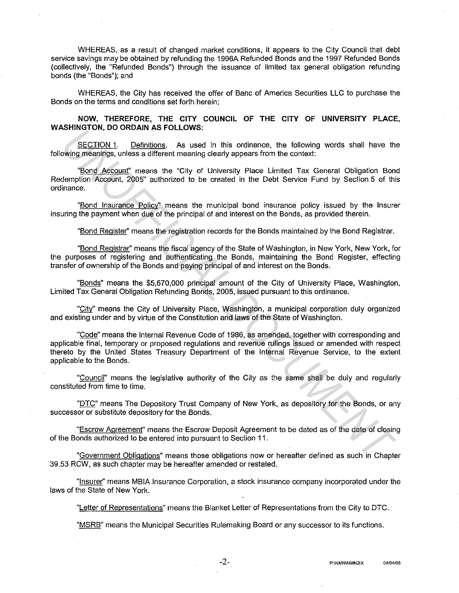WHEREAS, as a result of changed market conditions, it appears to the City Council that debt service savings may be obtained by refunding the 1996A Refunded Bonds and the 1997 Refunded Bonds (collectively, the "Refunded Bonds") through the issuance of limited tax general obligation refunding bonds (the "Bonds"); and

WHEREAS, the City has received the offer of Banc of America Securities LLC to purchase the Bonds on the terms and conditions set forth herein;

**NOW, THEREFORE, THE CITY COUNCIL OF THE CITY OF UNIVERSITY PLACE, WASHINGTON, DO ORDAIN AS FOLLOWS:** 

SECTION 1. Definitions. As used in this ordinance, the following words shall have the following meanings, unless a different meaning clearly appears from the context:

"Bond Account" means the "City of University Place Limited Tax General Obligation Bond Redemption Account, 2005" authorized to be created in the Debt Service Fund by Section 5 of this ordinance.

"Bond Insurance Policy" means the municipal bond insurance policy issued by the Insurer insuring the payment when due of the principal of and interest on the Bonds, as provided therein.

"Bond Register'' means the registration records for the Bonds maintained by the Bond Registrar.

"Bond Registrar'' means the fiscal agency of the State of Washington, in New York, New York, for the purposes of registering and authenticating the Bonds, maintaining the Bond Register, effecting transfer of ownership of the Bonds and paying principal of and interest on the Bonds.

"Bonds" means the \$5,670,000 principal amount of the City of University Place, Washington, Limited Tax General Obligation Refunding Bonds, 2005, issued pursuant to this ordinance.

"City" means the City of University Place, Washington, a municipal corporation duly organized and existing under and by virtue of the Constitution and laws of the State of Washington.

"Code" means the Internal Revenue Code of 1986, as amended, together with corresponding and applicable final, temporary or proposed regulations and revenue rulings issued or amended with respect thereto by the United States Treasury Department of the Internal Revenue Service, to the extent applicable to the Bonds. SECTION. <sup>1</sup>O Definitions. As POLLOWS.<br>
<u>SECTION</u> 1. Definitions. As used in this ordinance, the following words shall have the metallings are the solution the metalling of the solution Bond Metalling The metalling and th

"Council" means the legislative authority of the City as the same shall be duly and regularly constituted from time to time.

"DTC" means The Depository Trust Company of New York, as depository for the Bonds, or any successor or substitute depository for the Bonds.

"Escrow Agreement" means the Escrow Deposit Agreement to be dated as of the date of closing of the Bonds authorized to be entered into pursuant to Section 11 .

"Government Obligations" means those obligations now or hereafter defined as such in Chapter 39.53 RCW, as such chapter may be hereafter amended or restated.

"Insurer'' means MBIA Insurance Corporation, a stock insurance company incorporated under the laws of the State of New York.

"Letter of Representations" means the Blanket Letter of Representations from the City to DTC.

"MSRB" means the Municipal Securities Rulemaking Board or any successor to its functions.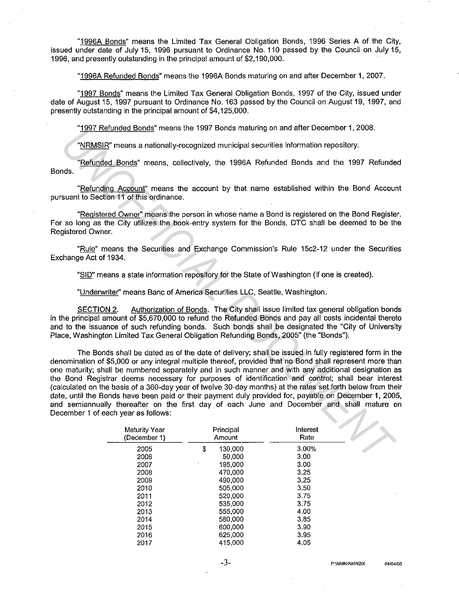"1996A Bonds" means the Limited Tax General Obligation Bonds, 1996 Series A of the City, issued under date of July 15, 1996 pursuant to Ordinance No. 110 passed by the Council on July 15, 1996, and presently outstanding in the principal amount of \$2, 190,000.

"1996A Refunded Bonds" means the 1996A Bonds maturing on and after December 1, 2007.

"1997 Bonds" means the Limited Tax General Obligation Bonds, 1997 of the City, issued under date of August 15, 1997 pursuant to Ordinance No. 163 passed by the Council on August 19, 1997, and presently outstanding in the principal amount of \$4, 125,000.

"1997 Refunded Bonds" means the 1997 Bonds maturing on and after December 1, 2008.

"NRMSIR" means a nationally-recognized municipal securities information repository.

"Refunded Bonds" means, collectively, the 1996A Refunded Bonds and the 1997 Refunded Bonds.

"Refunding Account" means the account by that name established within the Bond Account pursuant to Section 11 of this ordinance.

"Registered Owner'' means the person in whose name a Bond is registered on the Bond Register. For so long as the City utilizes the book-entry system for the Bonds, DTC shall be deemed to be the Registered Owner.

"Rule" means the Securities and Exchange Commission's Rule 15c2-12 under the Securities Exchange Act of 1934.

"SID" means a state information repository for the State of Washington (if one is created).

"Underwriter'' means Banc of America Securities LLC, Seattle, Washington.

SECTION 2. Authorization of Bonds. The City shall issue limited tax general obligation bonds in the principal amount of \$5,670,000 to refund the Refunded Bonds and pay all costs incidental thereto and to the issuance of such refunding bonds. Such bonds shall be designated the "City of University Place, Washington Limited Tax General Obligation Refunding Bonds, 2005" (the "Bonds").

The Bonds shall be dated as of the date of delivery; shall be issued in fully registered form in the denomination of \$5,000 or any integral multiple thereof, provided that no Bond shall represent more than one maturity; shall be numbered separately and in such manner and with any additional designation as the Bond Registrar deems necessary for purposes of identification and control; shall bear interest (calculated on the basis of a 360-day year of twelve 30-day months) at the rates set forth below from their date, until the Bonds have been paid or their payment duly provided for, payable on December 1, 2005, and semiannually thereafter on the first day of each June and December and shall mature on December 1 of each year as follows: **IVERASHE**<sup>T</sup> means and individual of the state of the data of the state of the state of the state of the state of the state of the state of the state of the state of the state of the state of the state of the state of the

| <b>Maturity Year</b><br>(December 1) | Principal<br>Amount | Interest<br>Rate |
|--------------------------------------|---------------------|------------------|
| 2005                                 | \$<br>130,000       | 3.00%            |
| 2006                                 | 50,000              | 3.00             |
| 2007                                 | 195,000             | 3.00             |
| 2008                                 | 470,000             | 3.25             |
| 2009                                 | 490,000             | 3.25             |
| 2010                                 | 505,000             | 3.50             |
| 2011                                 | 520,000             | 3.75             |
| 2012                                 | 535,000             | 3.75             |
| 2013                                 | 555,000             | 4.00             |
| 2014                                 | 580,000             | 3.85             |
| 2015                                 | 600.000             | 3.90             |
| 2016                                 | 625,000             | 3.95             |
| 2017                                 | 415.000             | 4.05             |
|                                      |                     |                  |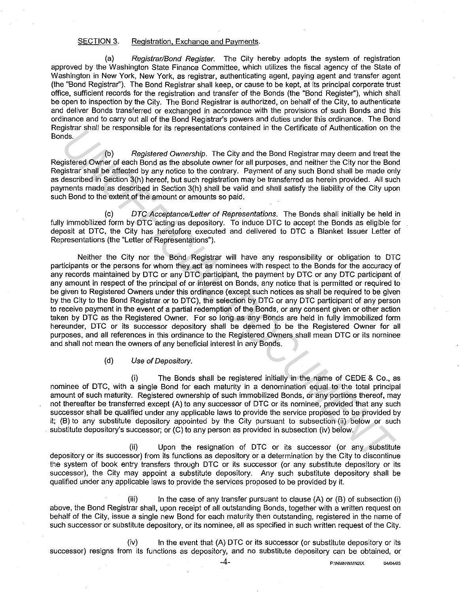#### SECTION 3. Registration, Exchange and Payments.

(a) Registrar/Bond Register. The City hereby adopts the system of registration approved by the Washington State Finance Committee, which utilizes the fiscal agency of the State of Washington in New York, New York, as registrar, authenticating agent, paying agent and transfer agent (the "Bond Registrar''). The Bond Registrar shall keep, or cause to be kept, at its principal corporate trust office, sufficient records for the registration and transfer of the Bonds (the "Bond Register''), which shall be open to inspection by the City. The Bond Registrar is authorized, on behalf of the City, to authenticate and deliver Bonds transferred or exchanged in accordance with the provisions of such Bonds and this ordinance and to carry out all of the Bond Registrar's powers and duties under this ordinance. The Bond Registrar shall be responsible for its representations contained in the Certificate of Authentication on the Bonds.

(b) Registered Ownership. The City and the Bond Registrar may deem and treat the Registered Owner of each Bond as the absolute owner for all purposes, and neither the City nor the Bond Registrar shall be affected by any notice to the contrary. Payment of any such Bond shall be made only as described in Section 3(h) hereof, but such registration may be transferred as herein provided. All such payments made as described in Section 3(h) shall be valid and shall satisfy the liability of the City upon such Bond to the extent of the amount or amounts so paid.

(c) OTC Acceptance/Letter of Representations. The Bonds shall initially be held in fully immobilized form by DTC acting as depository. To induce DTC to accept the Bonds as eligible for deposit at DTC, the City has heretofore executed and delivered to DTC a Blanket Issuer Letter of Representations (the "Letter of Representations").

Neither the City nor the Bond Registrar will have any responsibility or obligation to DTC participants or the persons for whom they act as nominees with respect to the Bonds for the accuracy of any records maintained by DTC or any DTC participant, the payment by DTC or any DTC participant of any amount in respect of the principal of or interest on Bonds, any notice that is permitted or required to be given to Registered Owners under this ordinance (except such notices as shall be required to be given by the City to the Bond Registrar or to DTC), the selection by DTC or any DTC participant of any person to receive payment in the event of a partial redemption of the Bonds, or any consent given or other action taken by DTC as the Registered Owner. For so long as any Bonds are held in fully immobilized form hereunder, DTC or its successor depository shall be deemed to be the Registered Owner for all purposes, and all references in this ordinance to the Registered Owners shall mean DTC or its nominee and shall not mean the owners of any beneficial interest in any Bonds. Best strain the responsive to this representations contenee in the centrate of Addretication of the Book<br>gigitared Owner of a capital Contenee in the City and the Book Department of the Book Department of the Book Departme

# {d) Use of Depository.

(i) The Bonds shall be registered initially in the name of CEDE & Co., as nominee of DTC, with a single Bond for each maturity in a denomination equal to the total principal amount of such maturity. Registered ownership of such immobilized Bonds, or any portions thereof, may not thereafter be transferred except {A) to any successor of DTC or its nominee, provided that any such successor shall be qualified under any applicable laws to provide the service proposed to be provided by it; (B) to any substitute depository appointed by the City pursuant to subsection (ii) below or such substitute depository's successor; or (C) to any person as provided in subsection (iv) below.

(ii) Upon the resignation of OTC or its successor (or any substitute depository or its successor) from its functions as depository or a determination by the City to discontinue the system of book entry transfers through DTC or its successor (or any substitute depository or its successor), the City may appoint a substitute depository. Any such substitute depository shall be qualified under any applicable laws to provide the services proposed to be provided by it.

(iii) In the case of any transfer pursuant to clause  $(A)$  or  $(B)$  of subsection (i) above, the Bond Registrar shall, upon receipt of all outstanding Bonds, together with a written request on behalf of the City, issue a single new Bond for each maturity then outstanding, registered in the name of such successor or substitute depository, or its nominee, all as specified in such written request of the City.

(iv) In the event that {A) DTC or its successor (or substitute depository or its successor) resigns from its functions as depository, and no substitute depository can be obtained, or

**-4- P:\NMN\NMN21X <sup>04104105</sup>**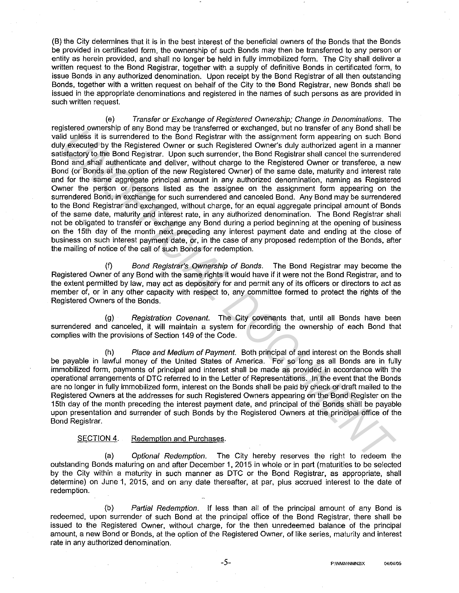(B) the City determines that it is in the best interest of the beneficial owners of the Bonds that the Bonds be provided in certificated form, the ownership of such Bonds may then be transferred to any person or entity as herein provided, and shall no longer be held in fully immobilized form. The City shall deliver a written request to the Bond Registrar, together with a supply of definitive Bonds in certificated form, to issue Bonds in any authorized denomination. Upon receipt by the Bond Registrar of all then outstanding Bonds, together with a written request on behalf of the City to the Bond Registrar, new Bonds shall be issued in the appropriate denominations and registered in the names of such persons as are provided in such written request.

(e) Transfer or Exchange of Registered Ownership; Change in Denominations. The registered ownership of any Bond may be transferred or exchanged, but no transfer of any Bond shall be valid unless it is surrendered to the Bond Registrar with the assignment form appearing on such Bond duly executed by the Registered Owner or such Registered Owner's duly authorized agent in a manner satisfactory to the Bond Registrar. Upon such surrender, the Bond Registrar shall cancel the surrendered Bond and shall authenticate and deliver, without charge to the Registered Owner or transferee, a new Bond (or Bonds at the option of the new Registered Owner) of the same date, maturity and interest rate and for the same aggregate principal amount in any authorized denomination, naming as Registered Owner the person or persons listed as the assignee on the assignment form appearing on the surrendered Bond, in exchange for such surrendered and canceled Bond. Any Bond may be surrendered to the Bond Registrar and exchanged, without charge, for an equal aggregate principal amount of Bonds of the same date, maturity and interest rate, in any authorized denomination. The Bond Registrar shall not be obligated to transfer or exchange any Bond during a period beginning at the opening of business on the 15th day of the month next preceding any interest payment date and ending at the close of business on such interest payment date, or, in the case of any proposed redemption of the Bonds, after the mailing of notice of the call of such Bonds for redemption. issues of which and the track that the same of extualities of extualities of the Royal English and the same of the Royal English and the same of the Royal English and the state of the Royal English and the state of the Boo

(f) Bond Registrar's Ownership of Bonds. The Bond Registrar may become the Registered Owner of any Bond with the same rights it would have if it were not the Bond Registrar, and to the extent permitted by law, may act as depository for and permit any of its officers or directors to act as member of, or in any other capacity with respect to, any committee formed to protect the rights of the Registered Owners of the Bonds.

(g) Registration Covenant. The City covenants that, until all Bonds have been surrendered and canceled, it will maintain a system for recording the ownership of each Bond that complies with the provisions of Section 149 of the Code.

(h) Place and Medium of Payment. Both principal of and interest on the Bonds shall be payable in lawful money of the United States of America. For so long as all Bonds are in fully immobilized form, payments of principal and interest shall be made as provided in accordance with the operational arrangements of OTC referred to in the Letter of Representations. In the event that the Bonds are no longer in fully immobilized form, interest on the Bonds shall be paid by check or draft mailed to the Registered Owners at the addresses for such Registered Owners appearing on the Bond Register on the 15th day of the month preceding the interest payment date, and principal of the Bonds shall be payable upon presentation and surrender of such Bonds by the Registered Owners at the principal office of the Bond Registrar.

# SECTION 4. Redemption and Purchases.

(a) Optional Redemption. The City hereby reserves the right to redeem the outstanding Bonds maturing on and after December 1, 2015 in whole or in part (maturities to be selected by the City within a maturity in such manner as OTC or the Bond Registrar, as appropriate, shall determine) on June 1, 2015, and on any date thereafter, at par, plus accrued interest to the date of redemption.

(b) Partial Redemption. If less than all of the principal amount of any Bond is redeemed, upon surrender of such Bond at the principal office of the Bond Registrar, there shall be issued to the Registered Owner, without charge, for the then unredeemed balance of the principal amount, a new Bond or Bonds, at the option of the Registered Owner, of like series, maturity and interest rate in any authorized denomination.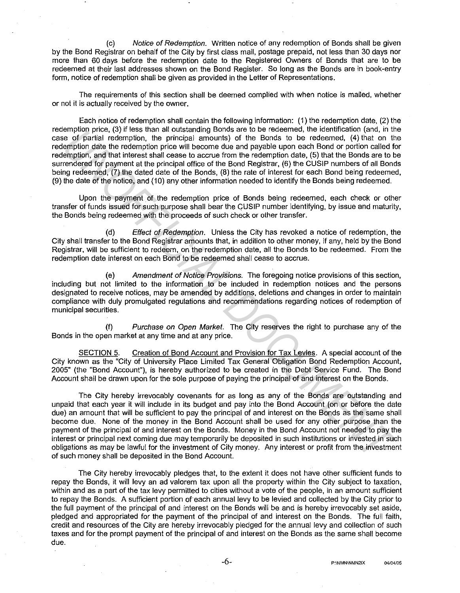(c) Notice of Redemption. Written notice of any redemption of Bonds shall be given by the Bond Registrar on behalf of the City by first class mail, postage prepaid, not less than 30 days nor more than 60 days before the redemption date to the Registered Owners of Bonds that are to be redeemed at their last addresses shown on the Bond Register. So long as the Bonds are in book-entry form, notice of redemption shall be given as provided in the Letter of Representations.

The requirements of this section shall be deemed complied with when notice is mailed, whether or not it is actually received by the owner.

Each notice of redemption shall contain the following information: (1) the redemption date, (2) the redemption price, (3) if less than all outstanding Bonds are to be redeemed, the identification (and, in the case of partial redemption, the principal amounts) of the Bonds to be redeemed, (4) that on the redemption date the redemption price will become due and payable upon each Bond or portion called for redemption, and that interest shall cease to accrue from the redemption date, (5) that the Bonds are to be surrendered for payment at the principal office of the Bond Registrar, (6) the CUSIP numbers of all Bonds being redeemed, (7) the dated date of the Bonds, (8) the rate of interest for each Bond being redeemed, (9) the date of the notice, and (10) any other information needed to identify the Bonds being redeemed.

Upon the payment of the redemption price of Bonds being redeemed, each check or other transfer of funds issued for such purpose shall bear the CUSIP number identifying, by issue and maturity, the Bonds being redeemed with the proceeds of such check or other transfer.

(d) Effect of Redemption. Unless the City has revoked a notice of redemption, the City shall transfer to the Bond Registrar amounts that, in addition to other money, if any, held by the Bond Registrar, will be sufficient to redeem, on the redemption date, all the Bonds to be redeemed. From the redemption date interest on each Bond to be redeemed shall cease to accrue.

(e) Amendment of Notice Provisions. The foregoing notice provisions of this section, including but not limited to the information to be included in redemption notices and the persons designated to receive notices, may be amended by additions, deletions and changes in order to maintain compliance with duly promulgated regulations and recommendations regarding notices of redemption of municipal securities.

(f) Purchase on Open Market. The City reserves the right to purchase any of the Bonds in the open market at any time and at any price.

SECTION 5. Creation of Bond Account and Provision for Tax Levies. A special account of the City known as the "City of University Place Limited Tax General Obligation Bond Redemption Account, 2005" (the "Bond Account"), is hereby authorized to be created in the Debt Service Fund. The Bond Account shall be drawn upon for the sole purpose of paying the principal of and interest on the Bonds.

The City hereby irrevocably covenants for as long as any of the Bonds are outstanding and unpaid that each year it will include in its budget and pay into the Bond Account (on or before the date due) an amount that will be sufficient to pay the principal of and interest on the Bonds as the same shall become due. None of the money in the Bond Account shall be used for any other purpose than the payment of the principal of and interest on the Bonds. Money in the Bond Account not needed to pay the interest or principal next coming due may temporarily be deposited in such institutions or invested in such obligations as may be lawful for the investment of City money. Any interest or profit from the investment of such money shall be deposited in the Bond Account. entimption price, (a) rees from an oussanding booths are to be redeemed, in order interaction (and, film in the profiteration) and the redemption and the redemption and the metropoly interaction (4) that in the first prope

The City hereby irrevocably pledges that, to the extent it does not have other sufficient funds to repay the Bonds, it will levy an ad valorem tax upon all the property within the City subject to taxation, within and as a part of the tax levy permitted to cities without a vote of the people, in an amount sufficient to repay the Bonds. A sufficient portion of each annual levy to be levied and collected by the City prior to the full payment of the principal of and interest on the Bonds will be and is hereby irrevocably set aside, pledged and appropriated for the payment of the principal of and interest on the Bonds. The full faith, credit and resources of the City are hereby irrevocably pledged for the annual levy and collection of such taxes and for the prompt payment of the principal of and interest on the Bonds as the same shall become due.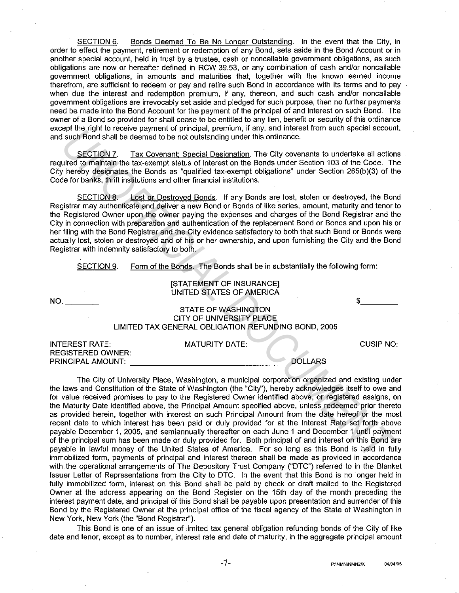SECTION 6. Bonds Deemed To Be No Longer Outstanding. In the event that the City, in order to effect the payment, retirement or redemption of any Bond, sets aside in the Bond Account or in another special account, held in trust by a trustee, cash or noncallable government obligations, as such obligations are now or hereafter defined in RCW 39.53, or any combination of cash and/or noncallable government obligations, in amounts and maturities that, together with the known earned income therefrom, are sufficient to redeem or pay and retire such Bond in accordance with its terms and to pay when due the interest and redemption premium, if any, thereon, and such cash and/or noncallable government obligations are irrevocably set aside and pledged for such purpose, then no further payments need be made into the Bond Account for the payment of the principal of and interest on such Bond. The owner of a Bond so provided for shall cease to be entitled to any lien, benefit or security of this ordinance except the right to receive payment of principal, premium, if any, and interest from such special account, and such Bond shall be deemed to be not outstanding under this ordinance.

SECTION 7. Tax Covenant; Special Designation. The City covenants to undertake all actions required to maintain the tax-exempt status of interest on the Bonds under Section 103 of the Code. The City hereby designates the Bonds as "qualified tax-exempt obligations" under Section 265(b)(3) of the Code for banks, thrift institutions and other financial institutions.

SECTION 8. Lost or Destroyed Bonds. If any Bonds are lost, stolen or destroyed, the Bond Registrar may authenticate and deliver a new Bond or Bonds of like series, amount, maturity and tenor to the Registered Owner upon the owner paying the expenses and charges of the Bond Registrar and the City in connection with preparation and authentication of the replacement Bond or Bonds and upon his or her filing with the Bond Registrar and the City evidence satisfactory to both that such Bond or Bonds were actually lost, stolen or destroyed and of his or her ownership, and upon furnishing the City and the Bond Registrar with indemnity satisfactory to both.

SECTION 9. Form of the Bonds. The Bonds shall be in substantially the following form:

## **ISTATEMENT OF INSURANCEI** UNITED STATES OF AMERICA

 $NO<sub>-</sub>$ 

## STATE OF WASHINGTON CITY OF UNIVERSITY PLACE LIMITED TAX GENERAL OBLIGATION REFUNDING BOND, 2005

| <b>INTEREST RATE:</b> | MATURITY DATE: | CUSIP NO: |
|-----------------------|----------------|-----------|
| REGISTERED OWNER:     |                |           |
| PRINCIPAL AMOUNT:     | <b>DOLLARS</b> |           |

The City of University Place, Washington, a municipal corporation organized and existing under the laws and Constitution of the State of Washington (the "City''), hereby acknowledges itself to owe and for value received promises to pay to the Registered Owner identified above, or registered assigns, on the Maturity Date identified above, the Principal Amount specified above, unless redeemed prior thereto as provided herein, together with interest on such Principal Amount from the date hereof or the most recent date to which interest has been paid or duly provided for at the Interest Rate set forth above payable December 1, 2005, and semiannually thereafter on each June 1 and December 1 until payment of the principal sum has been made or duly provided for. Both principal of and interest on this Bond are payable in lawful money of the United States of America. For so long as this Bond is held in fully immobilized form, payments of principal and interest thereon shall be made as provided in accordance with the operational arrangements of The Depository Trust Company ("OTC") referred to in the Blanket Issuer Letter of Representations from the City to OTC. In the event that this Bond is no longer held in fully immobilized form, interest on this Bond shall be paid by check or draft mailed to the Registered Owner at the address appearing on the Bond Register on the 15th day of the month preceding the interest payment date, and principal of this Bond shall be payable upon presentation and surrender of this Bond by the Registered Owner at the principal office of the fiscal agency of the State of Washington in New York, New York (the "Bond Registrar"). **Explain to instant of principal control of the significant of the second to the second to be not dustanting under this ordinance.**<br> **UNOFFICIAL TENT SECTION 2.** The Comparison of interest on the Bonds of the Groupe of the

This Bond is one of an issue of limited tax general obligation refunding bonds of the City of like date and tenor, except as to number, interest rate and date of maturity, in the aggregate principal amount

 $\frac{2}{\sqrt{2}}$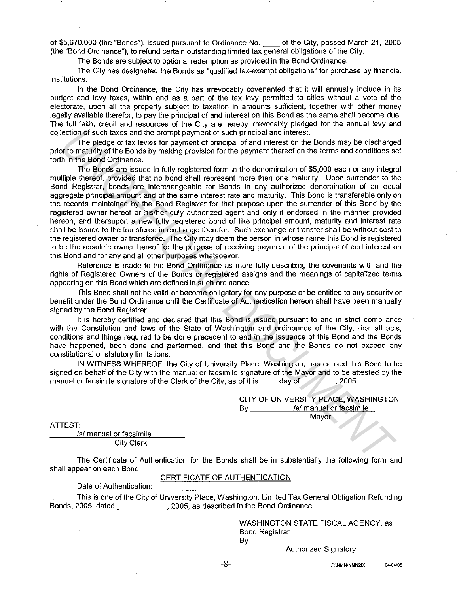of \$5,670,000 (the "Bonds"), issued pursuant to Ordinance No. \_\_ of the City, passed March 21, 2005 (the "Bond Ordinance"), to refund certain outstanding limited tax general obligations of the City.

The Bonds are subject to optional redemption as provided in the Bond Ordinance.

The City has designated the Bonds as "qualified tax-exempt obligations" for purchase by financial institutions.

In the Bond Ordinance, the City has irrevocably covenanted that it will annually include in its budget and levy taxes, within and as a part of the tax levy permitted to cities without a vote of the electorate, upon all the property subject to taxation in amounts sufficient. together with other money legally available therefor, to pay the principal of and interest on this Bond as the same shall become due. The full faith, credit and resources of the City are hereby irrevocably pledged for the annual levy and collection of such taxes and the prompt payment of such principal and interest.

The pledge of tax levies for payment of principal of and interest on the Bonds may be discharged prior to maturity of the Bonds by making provision for the payment thereof on the terms and conditions set forth in the Bond Ordinance.

The Bonds are issued in fully registered form in the denomination of \$5,000 each or any integral multiple thereof, provided that no bond shall represent more than one maturity. Upon surrender to the Bond Registrar, bonds are interchangeable for Bonds in any authorized denomination of an equal aggregate principal amount and of the same interest rate and maturity. This Bond is transferable only on the records maintained by the Bond Registrar for that purpose upon the surrender of this Bond by the registered owner hereof or his/her duly authorized agerit and only if endorsed in the manner provided hereon, and thereupon a new fully registered bond of like principal amount. maturity and interest rate shall be issued to the transferee in exchange therefor. Such exchange or transfer shall be without cost to the registered owner or transferee. The City may deem the person in whose name this Bond is registered to be the absolute owner hereof for the purpose of receiving payment of the principal of and interest on this Bond and for any and all other purposes whatsoever. ection of such the prompt payment of such principal and interests on the Bonds may be discharge<br>of invertigity of the Bonds by making provision for the payment thereof on the Bonds may be discharge<br>in the Bond Ordinance.<br>I

Reference is made to the Bond Ordinance as more fully describing the covenants with and the rights of Registered Owners of the Bonds or registered assigns and the meanings of capitalized terms appearing on this Bond which are defined in such ordinance.

This Bond shall not be valid or become obligatory for any purpose or be entitled to any security or benefit under the Bond Ordinance until the Certificate of Authentication hereon shall have been manually signed by the Bond Registrar.

It is hereby certified and declared that this Bond is issued pursuant to and in strict compliance with the Constitution and laws of the State of Washington and ordinances of the City, that all acts, conditions and things required to be done precedent to and in the issuance of this Bond and the Bonds have happened, been done and performed, and that this Bond and the Bonds do not exceed any constitutional or statutory limitations.

IN WITNESS WHEREOF, the City of University Place, Washington, has caused this Bond to be signed on behalf of the City with the manual or facsimile signature of the Mayor and to be attested by the manual or facsimile signature of the Clerk of the City, as of this and day of  $\sim$  2005.

> CITY OF UNIVERSITY PLACE, WASHINGTON By \_\_\_\_\_\_\_\_\_\_\_ /s/ manual or facsimile **Mayor**

ATTEST:

/s/ manual or facsimile City Clerk

The Certificate of Authentication for the Bonds shall be in substantially the following form and shall appear on each Bond:

## CERTIFICATE OF AUTHENTICATION

Date of Authentication:  $\frac{1}{100}$ <br>This is one of the City of University Place, Washington, Limited Tax General Obligation Refunding Bonds, 2005, dated **1988**, 2005, as described in the Bond Ordinance.

> WASHINGTON STATE FISCAL AGENCY, as Bond Registrar<br>By \_\_\_\_\_\_\_\_\_\_\_

Authorized Signatory

**P:\NMN\NMN21X 04104/05**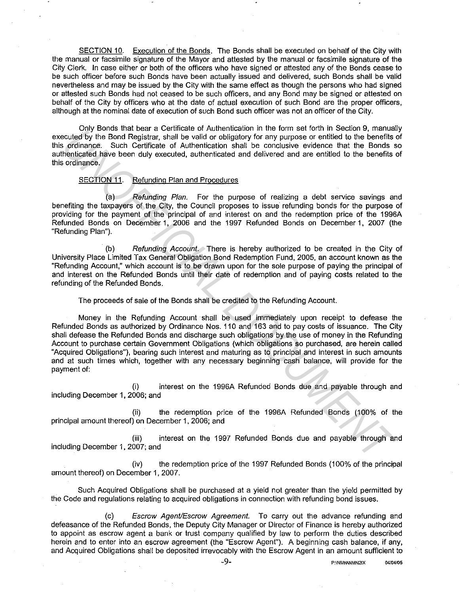SECTION 10. Execution of the Bonds. The Bonds shall be executed on behalf of the City with the manual or facsimile signature of the Mayor and attested by the manual or facsimile signature of the City Clerk. In case either or both of the officers who have signed or attested any of the Bonds cease to be such officer before such Bonds have been actually issued and delivered, such Bonds shall be valid nevertheless and may be issued by the City with the same effect as though the persons who had signed or attested such Bonds had not ceased to be such officers, and any Bond may be signed or attested on behalf of the City by officers who at the date of actual execution of such Bond are the proper officers, although at the nominal date of execution of such Bond such officer was not an officer of the City.

Only Bonds that bear a Certificate of Authentication in the form set forth in Section 9, manually executed by the Bond Registrar, shall be valid or obligatory for any purpose or entitled to the benefits of this ordinance. Such Certificate of Authentication shall be conclusive evidence that the Bonds so authenticated have been duly executed, authenticated and delivered and are entitled lo the benefits of this ordinance.

# SECTION 11. Refunding Plan and Procedures

(a) Refunding Plan. For the purpose of realizing a debt service savings and benefiting the taxpayers of the City, the Council proposes to issue refunding bonds for the purpose of providing for the payment of the principal of and interest on and the redemption price of the 1996A Refunded Bonds on December 1, 2006 and the 1997 Refunded Bonds on December 1, 2007 (the "Refunding Plan").

(b) Refunding Account. There is hereby authorized to be created in the City of University Place Limited Tax General Obligation Bond Redemption Fund, 2005, an account known as the "Refunding Account," which account is to be drawn upon for the sole purpose of paying the principal of and interest on the Refunded Bonds until their date of redemption and of paying costs related to the refunding of the Refunded Bonds.

The proceeds of sale of the Bonds shall be credited to the Refunding Account.

Money in the Refunding Account shall be used immediately upon receipt to defease the Refunded Bonds as authorized by Ordinance Nos. 110 and 163 and to pay costs of issuance. The City shall defease the Refunded Bonds and discharge such obligations by the use of money in the Refunding Account to purchase certain Government Obligations (which obligations so purchased, are herein called "Acquired Obligations"), bearing such interest and maturing as to principal and interest in such amounts and at such times which, together with any necessary beginning cash balance, will provide for the payment of: Unit of the Refunded Bonds and determined the two must are the two contents of the two contents of the contents of contents of contents of the contents of a contents of a contents of a contents of a contents of a contents

(i) interest on the 1996A Refunded Bonds due and payable through and including December 1, 2006; and

(ii) the redemption price of the 1996A Refunded Bonds (100% of the principal amount thereof) on December 1, 2006; and

(iii) interest on the 1997 Refunded Bonds due and payable through and including December 1, 2007; and

(iv) the redemption price of the 1997 Refunded Bonds (100% of the principal amount thereof) on December 1, 2007.

Such Acquired Obligations shall be purchased at a yield not greater than the yield permitted by the Code and regulations relating to acquired obligations in connection with refunding bond issues.

(c) Escrow Agent/Escrow Agreement. To carry out the advance refunding and defeasance of the Refunded Bonds, the Deputy City Manager or Director of Finance is hereby authorized to appoint as escrow agent a bank or trust company qualified by law to perform the duties described herein and to enter into an escrow agreement (the "Escrow Agent"). A beginning cash balance, if any, and Acquired Obligations shall be deposited irrevocably with the Escrow Agent in an amount sufficient to

**-9- P:\NMN\NMN21X 04104/05**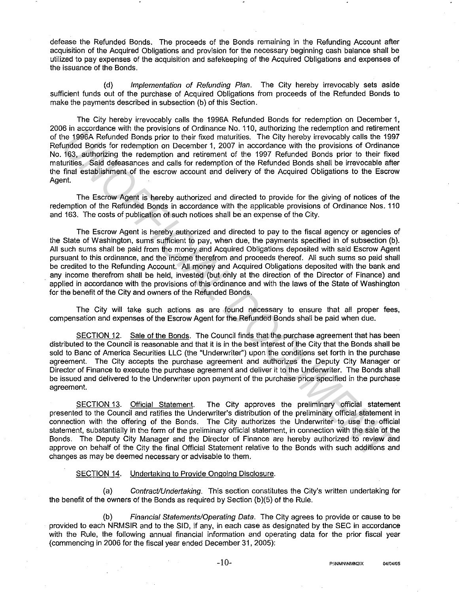defease the Refunded Bonds. The proceeds of the Bonds remaining in the Refunding Account after acquisition of the Acquired Obligations and provision for the necessary beginning cash balance shall be utilized to pay expenses of the acquisition and safekeeping of the Acquired Obligations and expenses of the issuance of the Bonds.

(d) Implementation of Refunding Plan. The City hereby irrevocably sets aside sufficient funds out of the purchase of Acquired Obligations from proceeds of the Refunded Bonds to make the payments described in subsection (b) of this Section.

The City hereby irrevocably calls the 1996A Refunded Bonds for redemption on December 1, 2006 in accordance with the provisions of Ordinance No. 110, authorizing the redemption and retirement of the 1996A Refunded Bonds prior to their fixed maturities. The City hereby irrevocably calls the 1997 Refunded Bonds for redemption on December 1, 2007 in accordance with the provisions of Ordinance No. 163, authorizing the redemption and retirement of the 1997 Refunded Bonds prior to their fixed maturities. Said defeasances and calls for redemption of the Refunded Bonds shall be irrevocable after the final establishment of the escrow account and delivery of the Acquired Obligations to the Escrow Agent.

The Escrow Agent is hereby authorized and directed to provide for the giving of notices of the redemption of the Refunded Bonds in accordance with the applicable provisions of Ordinance Nos. 110 and 163. The costs of publication of such notices shall be an expense of the City.

The Escrow Agent is hereby authorized and directed to pay to the fiscal agency or agencies of the State of Washington, sums sufficient to pay, when due, the payments specified in of subsection (b). All such sums shall be paid from the money and Acquired Obligations deposited with said Escrow Agent pursuant to this ordinance, and the income therefrom and proceeds thereof. All such sums so paid shall be credited to the Refunding Account. All money and Acquired Obligations deposited with the bank and any income therefrom shall be held, invested (but only at the direction of the Director of Finance) and applied in accordance with the provisions of this ordinance and with the laws of the State of Washington for the benefit of the City and owners of the Refunded Bonds. **IN INCONDENT CONSULTS IN CONSULTS (INCONDENT CONSULTS) THE PERIDENTIFY AND THE SECTION IS CONSULTS (ISS. authorizing the redemption and testimate New The provisions of Ordinance With the provisions of Ordinance Band Edis** 

The City will take such actions as are found necessary to ensure that all proper fees, compensation and expenses of the Escrow Agent for the Refunded Bonds shall be paid when due.

SECTION 12. Sale of the Bonds. The Council finds that the purchase agreement that has been distributed to the Council is reasonable and that it is in the best interest of the City that the Bonds shall be sold to Banc of America Securities LLC (the "Underwriter") upon the conditions set forth in the purchase agreement. The City accepts the purchase agreement and authorizes the Deputy City Manager or Director of Finance to execute the purchase agreement and deliver it to the Underwriter. The Bonds shall be issued and delivered to the Underwriter upon payment of the purchase price specified in the purchase agreement.

SECTION 13. Official Statement. The City approves the preliminary official statement presented to the Council and ratifies the Underwriter's distribution of the preliminary official statement in connection with the offering of the Bonds. The City authorizes the Underwriter to use the official statement, substantially in the form of the preliminary official statement, in connection with the sale of the Bonds. The Deputy City Manager and the Director of Finance are hereby authorized to review and approve on behalf of the City the final Official Statement relative to the Bonds with such additions and changes as may be deemed necessary or advisable to them.

#### SECTION 14. Undertaking to Provide Ongoing Disclosure.

(a) Contract/Undertaking. This section constitutes the City's written undertaking for the benefit of the owners of the Bonds as required by Section (b)(5) of the Rule.

(b) Financial Statements/Operating Data. The City agrees to provide or cause to be provided to each NRMSIR and to the SID, if any, in each case as designated by the SEC in accordance with the Rule, the following annual financial information and operating data for the prior fiscal year (commencing in 2006 for the fiscal year ended December 31, 2005):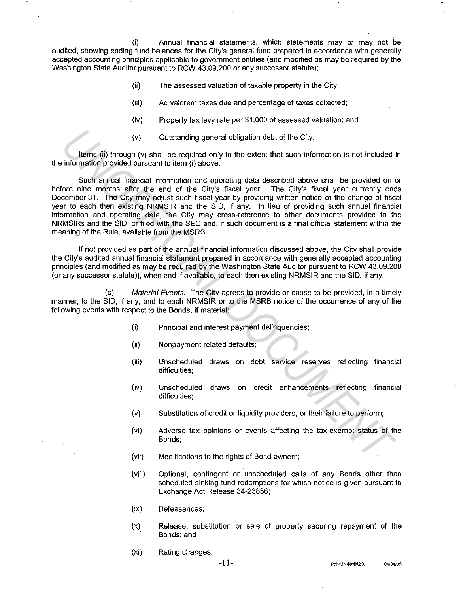(i) Annual financial statements, which statements may or may not be audited, showing ending fund balances for the City's general fund prepared in accordance with generally accepted accounting principles applicable to government entities (and modified as may be required by the Washington State Auditor pursuant to RCW 43.09.200 or any successor statute);

- (ii) The assessed valuation of taxable property in the City;
- (iii) Ad valorem taxes due and percentage of taxes collected;
- (iv) Property tax levy rate per \$1,000 of assessed valuation; and
- (v) Outstanding general obligation debt of the City.

Items (ii) through (v) shall be required only to the extent that such information is not included in the information provided pursuant to item (i) above.

Such annual financial information and operating data described above shall be provided on or before nine months after the end of the City's fiscal year. The City's fiscal year currently ends December 31. The City may adjust such fiscal year by providing written notice of the change of fiscal year to each then existing NRMSIR and the SID, if any. In lieu of providing such annual financial information and operating data, the City may cross-reference to other documents provided to the NRMSIRs and the SID, or filed with the SEC and, if such document is a final official statement within the meaning of the Rule, available from the MSRB. (v) Outstanding general obigation debt of the City.<br>
Identify through (v) shall be required only to the oxtent that such information is not included<br>
information provided pursuant to item (i) above.<br>
Such annual finderal i

If not provided as part of the annual financial information discussed above, the City shall provide the City's audited annual financial statement prepared in accordance with generally accepted accounting principles (and modified as may be required by the Washington State Auditor pursuant to RCW 43.09.200 (or any successor statute)), when and if available, to each then existing NRMSIR and the SID, if any.

(c) Material Events. The City agrees to provide or cause to be provided, in a timely manner, to the SID, if any, and to each NRMSIR or to the MSRB notice of the occurrence of any of the following events with respect to the Bonds, if material:

- (i) Principal and interest payment delinquencies;
- (ii) Nonpayment related defaults;
- (iii) Unscheduled draws on debt service reserves reflecting financial difficulties:
- (iv) Unscheduled draws on credit enhancements reflecting financial difficulties;
- (v) Substitution of credit or liquidity providers, or their failure to perform;
- (vi) Adverse tax opinions or events affecting the tax-exempt status of the Bonds;
- (vii) Modifications to the rights of Bond owners;
- (viii) Optional, contingent or unscheduled calls of any Bonds other than scheduled sinking fund redemptions for which notice is given pursuant to Exchange Act Release 34-23856;
- (ix) Defeasances;
- (x) Release, substitution or sale of property securing repayment of the Bonds; and
- (xi) Rating changes.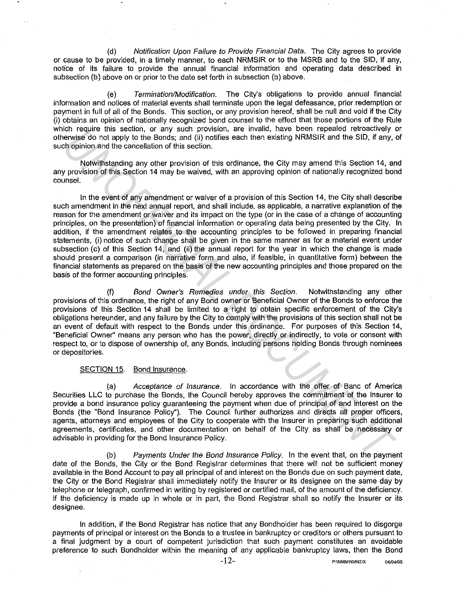(d) Notification Upon Failure to Provide Financial Data. The City agrees to provide or cause to be provided, in a timely manner, to each NRMSIR or to the MSRB and to the SID, if any, notice of its failure to provide the annual financial information and operating data described in subsection (b) above on or prior to the date set forth in subsection (b) above.

(e) Termination/Modification. The City's obligations to provide annual financial information and notices of material events shall terminate upon the legal defeasance, prior redemption or payment in full of all of the Bonds. This section, or any provision hereof, shall be null and void if the City (i) obtains an opinion of nationally recognized bond counsel to the effect that those portions of the Rule which require this section, or any such provision, are invalid, have been repealed retroactively or otherwise do not apply to the Bonds; and (ii) notifies each then existing NRMSIR and the SID, if any, of such opinion and the cancellation of this section.

Notwithstanding any other provision of this ordinance, the City may amend this Section 14, and any provision of this Section 14 may be waived, with an approving opinion of nationally recognized bond counsel.

In the event of any amendment or waiver of a provision of this Section 14, the City shall describe such amendment in the next annual report, and shall include, as applicable, a narrative explanation of the reason for the amendment or waiver and its impact on the type (or in the case of a change of accounting principles, on the presentation) of financial information or operating data being presented by the City. In addition, if the amendment relates to the accounting principles to be followed in preparing financial statements, (i) notice of such change shall be given in the same manner as for a material event under subsection (c) of this Section 14, and (ii) the annual report for the year in which the change is made should present a comparison (in narrative form and also, if feasible, in quantitative form) between the financial statements as prepared on the basis of the new accounting principles and those prepared on the basis of the former accounting principles. or include this section, or any soluting throusant, are investing. The properties that the best represents that the properties of this content in the properties of the cancellation of this section.<br>
Hyperbian and the cance

(f) Bond Owner's Remedies under this Section. Notwithstanding any other provisions of this ordinance, the right of any Bond owner or Beneficial Owner of the Bonds to enforce the provisions of this Section 14 shall be limited to a right to obtain specific enforcement of the City's obligations hereunder, and any failure by the City to comply with the provisions of this section shall not be an event of default with respect to the Bonds under this ordinance. For purposes of this Section 14, "Beneficial Owner'' means any person who has the power, directly or indirectly, to vote or consent with respect to, or to dispose of ownership of, any Bonds, including persons holding Bonds through nominees or depositories.

## SECTION 15. Bond Insurance.

(a) Acceptance of Insurance. In accordance with the offer of Banc of America Securities LLC to purchase the Bonds, the Council hereby approves the commitment of the Insurer to provide a bond insurance policy guaranteeing the payment when due of principal of and interest on the Bonds (the "Bond Insurance Policy"). The Council further authorizes and directs all proper officers, agents, attorneys and employees of the City to cooperate with the Insurer in preparing such additional agreements, certificates, and other documentation on behalf of the City as shall be necessary or advisable in providing for the Bond Insurance Policy.

(b) Payments Under the Bond Insurance Policy. In the event that, on the payment date of the Bonds, the City or the Bond Registrar determines that there will not be sufficient money available in the Bond Account to pay all principal of and interest on the Bonds due on such payment date, the City or the Bond Registrar shall immediately notify the Insurer or its designee on the same day by telephone or telegraph, confirmed in writing by registered or certified mail, of the amount of the deficiency. If the deficiency is made up in whole or in part, the Bond Registrar shall so notify the Insurer or its designee.

In addition, if the Bond Registrar has notice that any Bondholder has been required to disgorge payments of principal or interest on the Bonds to a trustee in bankruptcy or creditors or others pursuant to a final judgment by a court of competent jurisdiction that such payment constitutes an avoidable preference to such Bondholder within the meaning of any applicable bankruptcy laws, then the Bond

**-12- P:\NMN\NMN21X 04/04/05**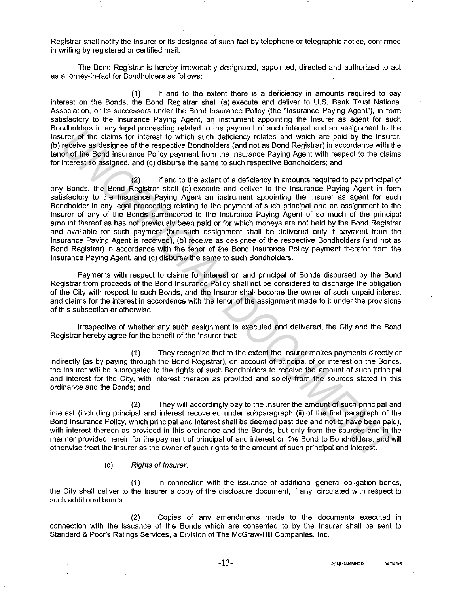Registrar shall notify the Insurer or its designee of such fact by telephone or telegraphic notice, confirmed in writing by registered or certified mail.

The Bond Registrar is hereby irrevocably designated, appointed, directed and authorized to act as attorney-in-fact for Bondholders as follows:

(1) If and to the extent there is a deficiency in amounts required to pay interest on the Bonds, the Bond Registrar shall (a) execute and deliver to U.S. Bank Trust National Association, or its successors under the Bond Insurance Policy (the "Insurance Paying Agent"), in form satisfactory to the Insurance Paying Agent, an instrument appointing the Insurer as agent for such Bondholders in any legal proceeding related to the payment of such interest and an assignment to the Insurer of the claims for interest to which such deficiency relates and which are paid by the Insurer, (b) receive as designee of the respective Bondholders (and not as Bond Registrar) in accordance with the tenor of the Bond Insurance Policy payment from the Insurance Paying Agent with respect to the claims for interest so assigned, and (c) disburse the same to such respective Bondholders; and

(2) If and to the extent of a deficiency in amounts required to pay principal of any Bonds, the Bond Registrar shall (a) execute and deliver to the Insurance Paying Agent in form satisfactory to the Insurance Paying Agent an instrument appointing the Insurer as agent for such Bondholder in any legal proceeding relating to the payment of such principal and an assignment to the Insurer of any of the Bonds surrendered to the Insurance Paying Agent of so much of the principal amount thereof as has not previously been paid or for which moneys are not held by the Bond Registrar and available for such payment (but such assignment shall be delivered only if payment from the Insurance Paying Agent is received), (b) receive as designee of the respective Bondholders (and not as Bond Registrar) in accordance with the tenor of the Bond Insurance Policy payment therefor from the Insurance Paying Agent, and (c) disburse the same to such Bondholders. manurous an lay regain present of the perfeit of unit present and and the perfect and a section and the content of the elective and the state of the state and the state of the SDM has the resent of the SDM has the state of

Payments with respect to claims for interest on and principal of Bonds disbursed by the Bond Registrar from proceeds of the Bond Insurance Policy shall not be considered to discharge the obligation of the City with respect to such Bonds, and the Insurer shall become the owner of such unpaid interest and claims for the interest in accordance with the tenor of the assignment made to it under the provisions of this subsection or otherwise.

Irrespective of whether any such assignment is executed and delivered, the City and the Bond Registrar hereby agree for the benefit of the Insurer that:

(1) They recognize that to the extent the Insurer makes payments directly or indirectly (as by paying through the Bond Registrar), on account of principal of or interest on the Bonds, the Insurer will be subrogated to the rights of such Bondholders to receive the amount of such principal and interest for the City, with interest thereon as provided and solely from the sources stated in this ordinance and the Bonds; and

(2) They will accordingly pay to the Insurer the amount of such principal and interest (including principal and interest recovered under subparagraph (ii) of the first paragraph of the Bond Insurance Policy, which principal and interest shall be deemed past due and not to have been paid), with interest thereon as provided in this ordinance and the Bonds, but only from the sources and in the manner provided herein for the payment of principal of and interest on the Bond to Bondholders, and will otherwise treat the Insurer as the owner of such rights to the amount of such principal and interest.

#### (c) Rights of Insurer.

(1) In connection with the issuance of additional general obligation bonds, the City shall deliver to the Insurer a copy of the disclosure document, if any, circulated with respect to such additional bonds.

(2) Copies of any amendments made to the documents executed in connection with the issuance of the Bonds which are consented to by the Insurer shall be sent to Standard & Poor's Ratings Services, a Division of The McGraw-Hill Companies, Inc.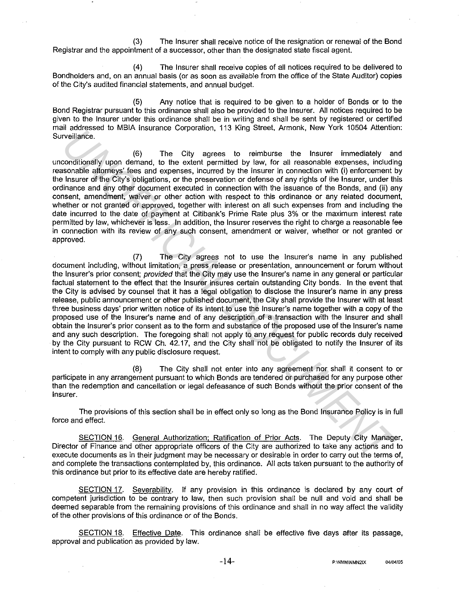(3) The Insurer shall receive notice of the resignation or renewal of the Bond Registrar and the appointment of a successor, other than the designated state fiscal agent.

(4) The Insurer shall receive copies of all notices required to be delivered to Bondholders and, on an annual basis (or as soon as available from the office of the State Auditor) copies of the City's audited financial statements, and annual budget.

(5) Any notice that is required to be given to a holder of Bonds or to the Bond Registrar pursuant to this ordinance shall also be provided to the Insurer. All notices required to be given to the Insurer under this ordinance shall be in writing and shall be sent by registered or certified mail addressed to MBIA Insurance Corporation, 113 King Street, Armonk, New York 10504 Attention: Surveillance.

(6) The City agrees to reimburse the Insurer immediately and unconditionally upon demand, to the extent permitted by law, for all reasonable expenses, including reasonable attorneys' fees and expenses, incurred by the Insurer in connection with {i) enforcement by the Insurer of the City's obligations, or the preservation or defense of any rights of the Insurer, under this ordinance and any other document executed in connection with the issuance of the Bonds, and (ii) any consent, amendment, waiver or other action with respect to this ordinance or any related document, whether or not granted or approved, together with interest on all such expenses from and including the date incurred to the date of payment at Citibank's Prime Rate plus 3% or the maximum interest rate permitted by law, whichever is less. In addition, the Insurer reserves the right to charge a reasonable fee in connection with its review of any such consent, amendment or waiver, whether or not granted or approved.

(7) The City agrees not to use the Insurer's name in any published document including, without limitation, a press release or presentation, announcement or forum without the Insurer's prior consent; provided that the City may use the Insurer's name in any general or particular factual statement to the effect that the Insurer insures certain outstanding City bonds. In the event that the City is advised by counsel that it has a legal obligation to disclose the Insurer's name in any press release, public announcement or other published document, the City shall provide the Insurer with at least three business days' prior written notice of its intent to use the Insurer's name together with a copy of the proposed use of the Insurer's name and of any description of a transaction with the Insurer and shall obtain the Insurer's prior consent as to the form and substance of the proposed use of the Insurer's name and any such description. The foregoing shall not apply to any request for public records duly received by the City pursuant to RCW Ch. 42.17, and the City shall not be obligated to notify the Insurer of its intent to comply with any public disclosure request. in states are the proposition of the City space. At the like is the have the matter of the controlled by the controlled by the controlled by the controlled by the controlled by the controlled by the controlled by the state

(8) The City shall not enter into any agreement nor shall it consent to or participate in any arrangement pursuant to which Bonds are tendered or purchased for any purpose other than the redemption and cancellation or legal defeasance of such Bonds without the prior consent of the Insurer.

The provisions of this section shall be in effect only so long as the Bond Insurance Policy is in full force and effect.

SECTION 16. General Authorization; Ratification of Prior Acts. The Deputy City Manager, Director of Finance and other appropriate officers of the City are authorized to take any actions and to execute documents as in their judgment may be necessary or desirable in order to carry out the terms of, and complete the transactions contemplated by, this ordinance. All acts taken pursuant to the authority of this ordinance but prior to its effective date are hereby ratified.

SECTION 17. Severability. If any provision in this ordinance is declared by any court of competent jurisdiction to be contrary to law, then such provision shall be null and void and shall be deemed separable from the remaining provisions of this ordinance and shall in no way affect the validity of the other provisions of this ordinance or of the Bonds.

SECTION 18. Effective Date. This ordinance shall be effective five days after its passage, approval and publication as provided by law.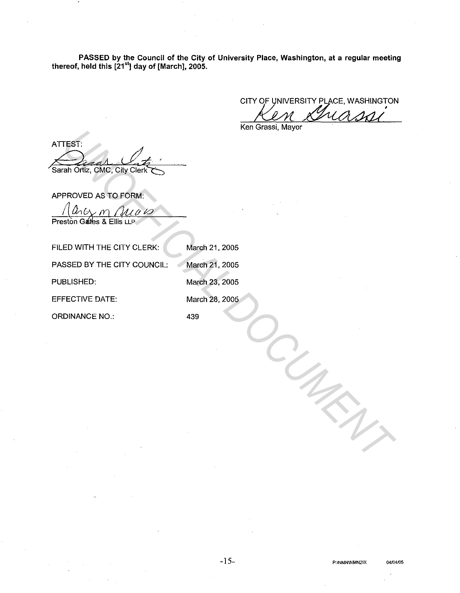PASSED by the Council of the City of University Place, Washington, at a regular meeting thereof, held this [21<sup>st</sup>] day of [March], 2005.

CITY OF UNIVERSITY PLACE, WASHINGTON

Ken Grassi, Mayor

ATTEST:

Preston Gates & Ellis LLP

|                                                                  | ישניי, יישייש וייש |
|------------------------------------------------------------------|--------------------|
| ATTEST:                                                          |                    |
| Sarah Ortiz, CMC, City Clerk                                     |                    |
| APPROVED AS TO FORM:<br>$u\,\omega$<br>Preston Gates & Ellis LLP |                    |
| FILED WITH THE CITY CLERK:                                       | March 21, 2005     |
| PASSED BY THE CITY COUNCIL:                                      | March 21, 2005     |
| PUBLISHED:                                                       | March 23, 2005     |
| <b>EFFECTIVE DATE:</b>                                           | March 28, 2005     |
| <b>ORDINANCE NO.:</b>                                            | 439                |
|                                                                  |                    |
|                                                                  |                    |
|                                                                  |                    |